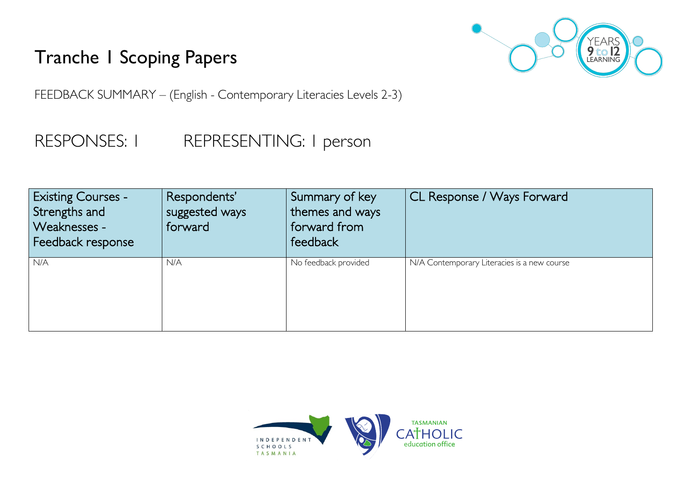## Tranche 1 Scoping Papers



FEEDBACK SUMMARY – (English - Contemporary Literacies Levels 2-3)

## RESPONSES: I REPRESENTING: I person

| <b>Existing Courses -</b><br>Strengths and<br>Weaknesses -<br>Feedback response | Respondents'<br>suggested ways<br>forward | Summary of key<br>themes and ways<br>forward from<br>feedback | CL Response / Ways Forward                  |
|---------------------------------------------------------------------------------|-------------------------------------------|---------------------------------------------------------------|---------------------------------------------|
| N/A                                                                             | N/A                                       | No feedback provided                                          | N/A Contemporary Literacies is a new course |

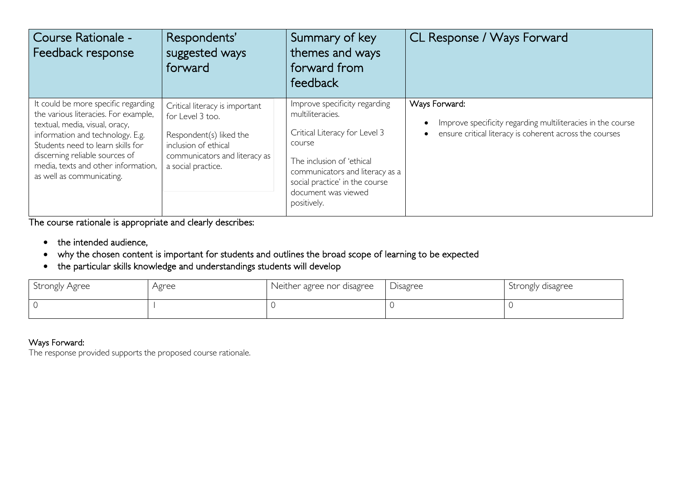| Course Rationale -<br>Feedback response                                                                                                                                                                                                                                                      | Respondents'<br>suggested ways<br>forward                                                                                                                    | Summary of key<br>themes and ways<br>forward from<br>feedback                                                                                                                                                                        | CL Response / Ways Forward                                                                                                                           |
|----------------------------------------------------------------------------------------------------------------------------------------------------------------------------------------------------------------------------------------------------------------------------------------------|--------------------------------------------------------------------------------------------------------------------------------------------------------------|--------------------------------------------------------------------------------------------------------------------------------------------------------------------------------------------------------------------------------------|------------------------------------------------------------------------------------------------------------------------------------------------------|
| It could be more specific regarding<br>the various literacies. For example,<br>textual, media, visual, oracy,<br>information and technology. E.g.<br>Students need to learn skills for<br>discerning reliable sources of<br>media, texts and other information,<br>as well as communicating. | Critical literacy is important<br>for Level 3 too.<br>Respondent(s) liked the<br>inclusion of ethical<br>communicators and literacy as<br>a social practice. | Improve specificity regarding<br>multiliteracies.<br>Critical Literacy for Level 3<br>course<br>The inclusion of 'ethical<br>communicators and literacy as a<br>social practice' in the course<br>document was viewed<br>positively. | Ways Forward:<br>Improve specificity regarding multiliteracies in the course<br>ensure critical literacy is coherent across the courses<br>$\bullet$ |

The course rationale is appropriate and clearly describes:

- the intended audience,
- why the chosen content is important for students and outlines the broad scope of learning to be expected
- the particular skills knowledge and understandings students will develop

| Strongly Agree | Agree | Neither agree nor disagree | Disagree | Strongly disagree |
|----------------|-------|----------------------------|----------|-------------------|
|                |       |                            |          |                   |

## Ways Forward:

The response provided supports the proposed course rationale.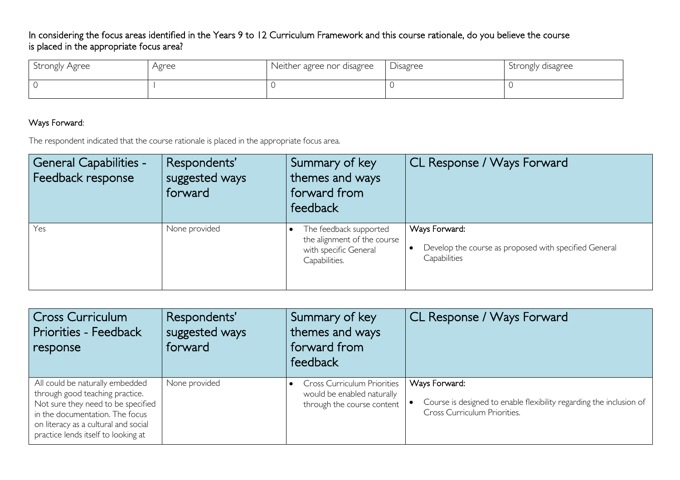In considering the focus areas identified in the Years 9 to 12 Curriculum Framework and this course rationale, do you believe the course is placed in the appropriate focus area?

| Strongly Agree | Agree | Neither agree nor disagree | Disagree | Strongly disagree |
|----------------|-------|----------------------------|----------|-------------------|
|                |       |                            |          |                   |

## Ways Forward:

The respondent indicated that the course rationale is placed in the appropriate focus area.

| <b>General Capabilities -</b><br>Feedback response | Respondents'<br>suggested ways<br>forward | Summary of key<br>themes and ways<br>forward from<br>feedback                                   | CL Response / Ways Forward                                                             |
|----------------------------------------------------|-------------------------------------------|-------------------------------------------------------------------------------------------------|----------------------------------------------------------------------------------------|
| Yes                                                | None provided                             | The feedback supported<br>the alignment of the course<br>with specific General<br>Capabilities. | Ways Forward:<br>Develop the course as proposed with specified General<br>Capabilities |

| <b>Cross Curriculum</b><br><b>Priorities - Feedback</b><br>response                                                                                                                                                        | Respondents'<br>suggested ways<br>forward | Summary of key<br>themes and ways<br>forward from<br>feedback                                  | CL Response / Ways Forward                                                                                           |
|----------------------------------------------------------------------------------------------------------------------------------------------------------------------------------------------------------------------------|-------------------------------------------|------------------------------------------------------------------------------------------------|----------------------------------------------------------------------------------------------------------------------|
| All could be naturally embedded<br>through good teaching practice.<br>Not sure they need to be specified<br>in the documentation. The focus<br>on literacy as a cultural and social<br>practice lends itself to looking at | None provided                             | <b>Cross Curriculum Priorities</b><br>would be enabled naturally<br>through the course content | Ways Forward:<br>Course is designed to enable flexibility regarding the inclusion of<br>Cross Curriculum Priorities. |